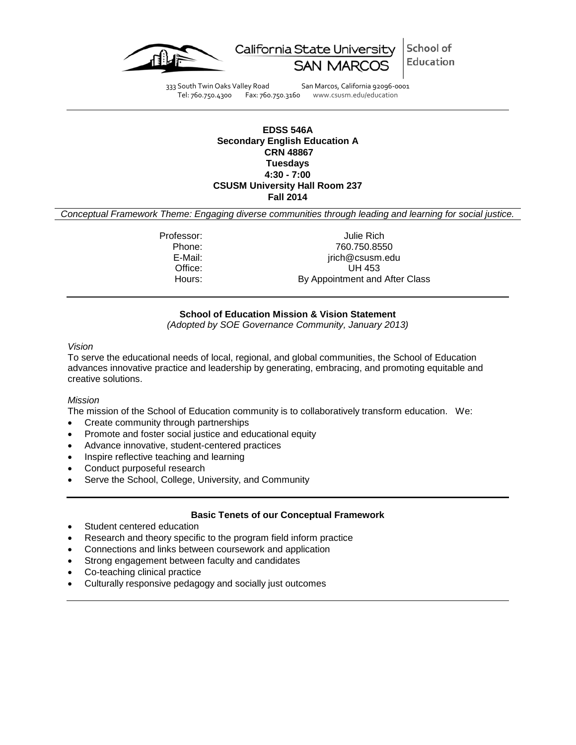

School of California State University Education

333 South Twin Oaks Valley Road San Marcos, California 92096-0001 Tel: 760.750.4300 Fax: 760.750.3160 www.csusm.edu/education

#### **EDSS 546A Secondary English Education A CRN 48867 Tuesdays 4:30 - 7:00 CSUSM University Hall Room 237 Fall 2014**

<span id="page-0-0"></span>*Conceptual Framework Theme: Engaging diverse communities through leading and learning for social justice.*

Professor: Julie Rich Phone: 760.750.8550 E-Mail: inchestance in the settlement of the settlement of the settlement of the settlement of the settlement of the settlement of the settlement of the settlement of the settlement of the settlement of the settlement of t Office: UH 453<br>
Hours: By Appointment and By Appointment and After Class

# **School of Education Mission & Vision Statement**

*(Adopted by SOE Governance Community, January 2013)*

### *Vision*

To serve the educational needs of local, regional, and global communities, the School of Education advances innovative practice and leadership by generating, embracing, and promoting equitable and creative solutions.

#### *Mission*

The mission of the School of Education community is to collaboratively transform education. We:

- Create community through partnerships
- Promote and foster social justice and educational equity
- Advance innovative, student-centered practices
- Inspire reflective teaching and learning
- Conduct purposeful research
- Serve the School, College, University, and Community

#### **Basic Tenets of our Conceptual Framework**

- Student centered education
- Research and theory specific to the program field inform practice
- Connections and links between coursework and application
- Strong engagement between faculty and candidates
- Co-teaching clinical practice
- Culturally responsive pedagogy and socially just outcomes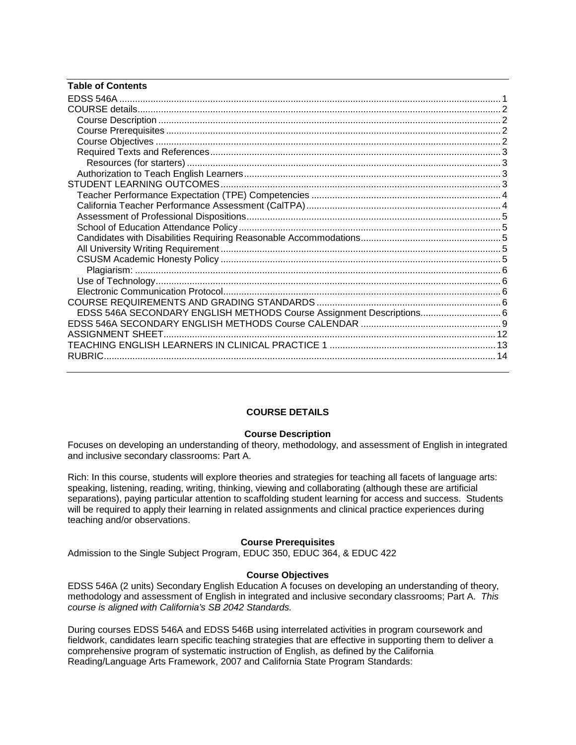| <b>Table of Contents</b>                                             |  |
|----------------------------------------------------------------------|--|
|                                                                      |  |
|                                                                      |  |
|                                                                      |  |
|                                                                      |  |
|                                                                      |  |
|                                                                      |  |
|                                                                      |  |
|                                                                      |  |
|                                                                      |  |
|                                                                      |  |
|                                                                      |  |
|                                                                      |  |
|                                                                      |  |
|                                                                      |  |
|                                                                      |  |
|                                                                      |  |
|                                                                      |  |
|                                                                      |  |
|                                                                      |  |
|                                                                      |  |
| EDSS 546A SECONDARY ENGLISH METHODS Course Assignment Descriptions 6 |  |
|                                                                      |  |
|                                                                      |  |
|                                                                      |  |
|                                                                      |  |

# **COURSE DETAILS**

#### **Course Description**

<span id="page-1-1"></span><span id="page-1-0"></span>Focuses on developing an understanding of theory, methodology, and assessment of English in integrated and inclusive secondary classrooms: Part A.

Rich: In this course, students will explore theories and strategies for teaching all facets of language arts: speaking, listening, reading, writing, thinking, viewing and collaborating (although these are artificial separations), paying particular attention to scaffolding student learning for access and success. Students will be required to apply their learning in related assignments and clinical practice experiences during teaching and/or observations.

#### **Course Prerequisites**

<span id="page-1-2"></span>Admission to the Single Subject Program, EDUC 350, EDUC 364, & EDUC 422

#### **Course Objectives**

<span id="page-1-3"></span>EDSS 546A (2 units) Secondary English Education A focuses on developing an understanding of theory, methodology and assessment of English in integrated and inclusive secondary classrooms; Part A. *This course is aligned with California's SB 2042 Standards.* 

During courses EDSS 546A and EDSS 546B using interrelated activities in program coursework and fieldwork, candidates learn specific teaching strategies that are effective in supporting them to deliver a comprehensive program of systematic instruction of English, as defined by the California Reading/Language Arts Framework, 2007 and California State Program Standards: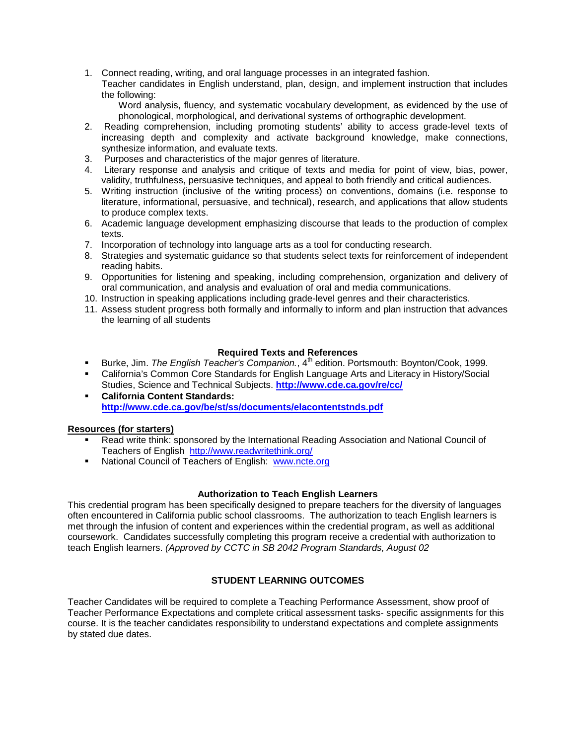1. Connect reading, writing, and oral language processes in an integrated fashion.

Teacher candidates in English understand, plan, design, and implement instruction that includes the following:

Word analysis, fluency, and systematic vocabulary development, as evidenced by the use of phonological, morphological, and derivational systems of orthographic development.

- 2. Reading comprehension, including promoting students' ability to access grade-level texts of increasing depth and complexity and activate background knowledge, make connections, synthesize information, and evaluate texts.
- 3. Purposes and characteristics of the major genres of literature.
- 4. Literary response and analysis and critique of texts and media for point of view, bias, power, validity, truthfulness, persuasive techniques, and appeal to both friendly and critical audiences.
- 5. Writing instruction (inclusive of the writing process) on conventions, domains (i.e. response to literature, informational, persuasive, and technical), research, and applications that allow students to produce complex texts.
- 6. Academic language development emphasizing discourse that leads to the production of complex texts.
- 7. Incorporation of technology into language arts as a tool for conducting research.
- 8. Strategies and systematic guidance so that students select texts for reinforcement of independent reading habits.
- 9. Opportunities for listening and speaking, including comprehension, organization and delivery of oral communication, and analysis and evaluation of oral and media communications.
- 10. Instruction in speaking applications including grade-level genres and their characteristics.
- 11. Assess student progress both formally and informally to inform and plan instruction that advances the learning of all students

# **Required Texts and References**

- <span id="page-2-0"></span>Burke, Jim. *The English Teacher's Companion.*, 4<sup>th</sup> edition. Portsmouth: Boynton/Cook, 1999.
- California's Common Core Standards for English Language Arts and Literacy in History/Social Studies, Science and Technical Subjects. **<http://www.cde.ca.gov/re/cc/>**
- **California Content Standards: <http://www.cde.ca.gov/be/st/ss/documents/elacontentstnds.pdf>**

# <span id="page-2-1"></span>**Resources (for starters)**

- Read write think: sponsored by the International Reading Association and National Council of Teachers of English <http://www.readwritethink.org/>
- National Council of Teachers of English: [www.ncte.org](http://www.ncte.org/)

#### **Authorization to Teach English Learners**

<span id="page-2-2"></span>This credential program has been specifically designed to prepare teachers for the diversity of languages often encountered in California public school classrooms. The authorization to teach English learners is met through the infusion of content and experiences within the credential program, as well as additional coursework. Candidates successfully completing this program receive a credential with authorization to teach English learners. *(Approved by CCTC in SB 2042 Program Standards, August 02*

# **STUDENT LEARNING OUTCOMES**

<span id="page-2-4"></span><span id="page-2-3"></span>Teacher Candidates will be required to complete a Teaching Performance Assessment, show proof of Teacher Performance Expectations and complete critical assessment tasks- specific assignments for this course. It is the teacher candidates responsibility to understand expectations and complete assignments by stated due dates.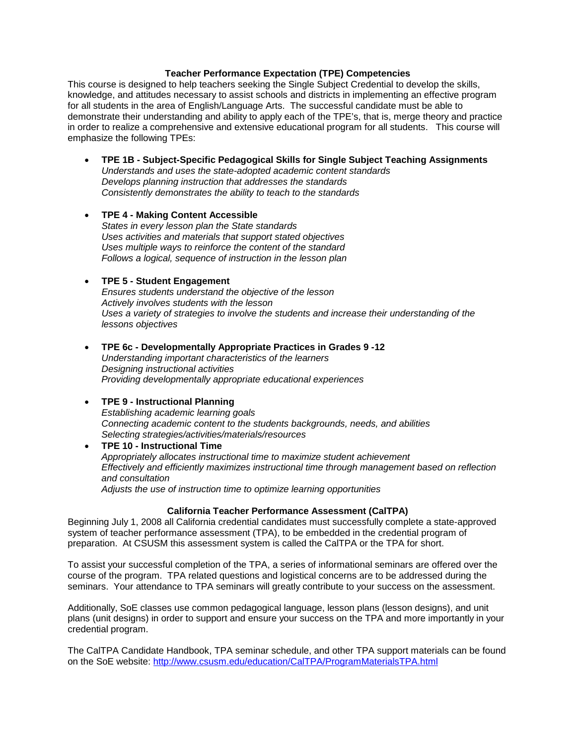#### **Teacher Performance Expectation (TPE) Competencies**

This course is designed to help teachers seeking the Single Subject Credential to develop the skills, knowledge, and attitudes necessary to assist schools and districts in implementing an effective program for all students in the area of English/Language Arts. The successful candidate must be able to demonstrate their understanding and ability to apply each of the TPE's, that is, merge theory and practice in order to realize a comprehensive and extensive educational program for all students. This course will emphasize the following TPEs:

• **TPE 1B - Subject-Specific Pedagogical Skills for Single Subject Teaching Assignments** *Understands and uses the state-adopted academic content standards Develops planning instruction that addresses the standards Consistently demonstrates the ability to teach to the standards*

# • **TPE 4 - Making Content Accessible**

*States in every lesson plan the State standards Uses activities and materials that support stated objectives Uses multiple ways to reinforce the content of the standard Follows a logical, sequence of instruction in the lesson plan*

#### • **TPE 5 - Student Engagement**

*Ensures students understand the objective of the lesson Actively involves students with the lesson Uses a variety of strategies to involve the students and increase their understanding of the lessons objectives*

• **TPE 6c - Developmentally Appropriate Practices in Grades 9 -12** *Understanding important characteristics of the learners Designing instructional activities Providing developmentally appropriate educational experiences*

#### • **TPE 9 - Instructional Planning**

*Establishing academic learning goals Connecting academic content to the students backgrounds, needs, and abilities Selecting strategies/activities/materials/resources*

• **TPE 10 - Instructional Time** *Appropriately allocates instructional time to maximize student achievement Effectively and efficiently maximizes instructional time through management based on reflection and consultation Adjusts the use of instruction time to optimize learning opportunities*

#### **California Teacher Performance Assessment (CalTPA)**

<span id="page-3-0"></span>Beginning July 1, 2008 all California credential candidates must successfully complete a state-approved system of teacher performance assessment (TPA), to be embedded in the credential program of preparation. At CSUSM this assessment system is called the CalTPA or the TPA for short.

To assist your successful completion of the TPA, a series of informational seminars are offered over the course of the program. TPA related questions and logistical concerns are to be addressed during the seminars. Your attendance to TPA seminars will greatly contribute to your success on the assessment.

Additionally, SoE classes use common pedagogical language, lesson plans (lesson designs), and unit plans (unit designs) in order to support and ensure your success on the TPA and more importantly in your credential program.

The CalTPA Candidate Handbook, TPA seminar schedule, and other TPA support materials can be found on the SoE website: <http://www.csusm.edu/education/CalTPA/ProgramMaterialsTPA.html>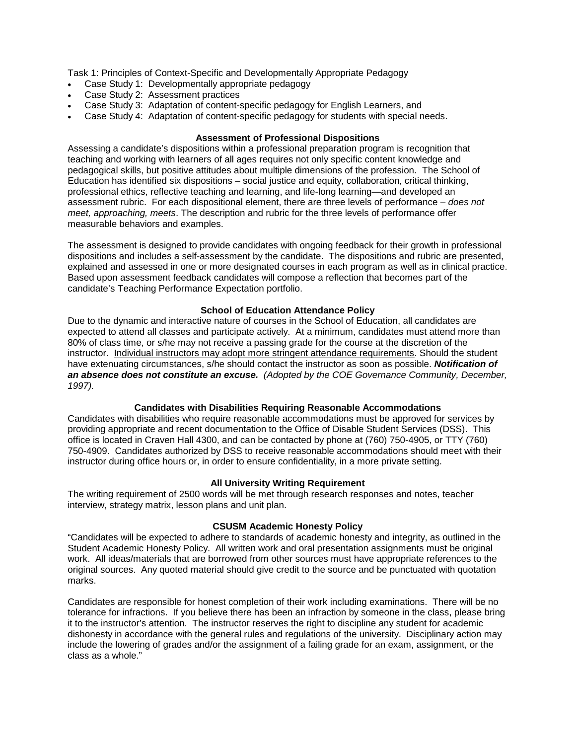Task 1: Principles of Context-Specific and Developmentally Appropriate Pedagogy

- Case Study 1: Developmentally appropriate pedagogy
- Case Study 2: Assessment practices
- Case Study 3: Adaptation of content-specific pedagogy for English Learners, and
- Case Study 4: Adaptation of content-specific pedagogy for students with special needs.

### **Assessment of Professional Dispositions**

<span id="page-4-0"></span>Assessing a candidate's dispositions within a professional preparation program is recognition that teaching and working with learners of all ages requires not only specific content knowledge and pedagogical skills, but positive attitudes about multiple dimensions of the profession. The School of Education has identified six dispositions – social justice and equity, collaboration, critical thinking, professional ethics, reflective teaching and learning, and life-long learning—and developed an assessment rubric. For each dispositional element, there are three levels of performance – *does not meet, approaching, meets*. The description and rubric for the three levels of performance offer measurable behaviors and examples.

The assessment is designed to provide candidates with ongoing feedback for their growth in professional dispositions and includes a self-assessment by the candidate. The dispositions and rubric are presented, explained and assessed in one or more designated courses in each program as well as in clinical practice. Based upon assessment feedback candidates will compose a reflection that becomes part of the candidate's Teaching Performance Expectation portfolio.

# **School of Education Attendance Policy**

<span id="page-4-1"></span>Due to the dynamic and interactive nature of courses in the School of Education, all candidates are expected to attend all classes and participate actively. At a minimum, candidates must attend more than 80% of class time, or s/he may not receive a passing grade for the course at the discretion of the instructor. Individual instructors may adopt more stringent attendance requirements. Should the student have extenuating circumstances, s/he should contact the instructor as soon as possible. *Notification of an absence does not constitute an excuse. (Adopted by the COE Governance Community, December, 1997).*

#### **Candidates with Disabilities Requiring Reasonable Accommodations**

<span id="page-4-2"></span>Candidates with disabilities who require reasonable accommodations must be approved for services by providing appropriate and recent documentation to the Office of Disable Student Services (DSS). This office is located in Craven Hall 4300, and can be contacted by phone at (760) 750-4905, or TTY (760) 750-4909. Candidates authorized by DSS to receive reasonable accommodations should meet with their instructor during office hours or, in order to ensure confidentiality, in a more private setting.

#### **All University Writing Requirement**

<span id="page-4-3"></span>The writing requirement of 2500 words will be met through research responses and notes, teacher interview, strategy matrix, lesson plans and unit plan.

#### **CSUSM Academic Honesty Policy**

<span id="page-4-4"></span>"Candidates will be expected to adhere to standards of academic honesty and integrity, as outlined in the Student Academic Honesty Policy. All written work and oral presentation assignments must be original work. All ideas/materials that are borrowed from other sources must have appropriate references to the original sources. Any quoted material should give credit to the source and be punctuated with quotation marks.

Candidates are responsible for honest completion of their work including examinations. There will be no tolerance for infractions. If you believe there has been an infraction by someone in the class, please bring it to the instructor's attention. The instructor reserves the right to discipline any student for academic dishonesty in accordance with the general rules and regulations of the university. Disciplinary action may include the lowering of grades and/or the assignment of a failing grade for an exam, assignment, or the class as a whole."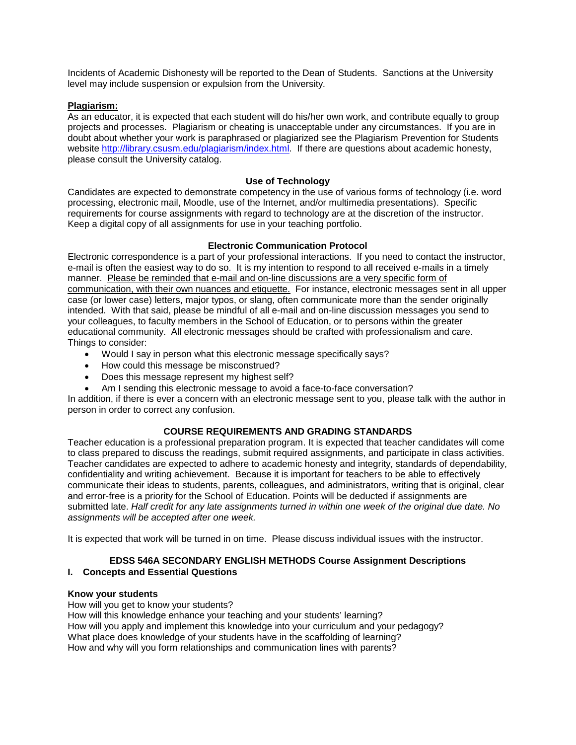Incidents of Academic Dishonesty will be reported to the Dean of Students. Sanctions at the University level may include suspension or expulsion from the University.

### <span id="page-5-0"></span>**Plagiarism:**

As an educator, it is expected that each student will do his/her own work, and contribute equally to group projects and processes. Plagiarism or cheating is unacceptable under any circumstances. If you are in doubt about whether your work is paraphrased or plagiarized see the Plagiarism Prevention for Students website [http://library.csusm.edu/plagiarism/index.html.](http://library.csusm.edu/plagiarism/index.html) If there are questions about academic honesty, please consult the University catalog.

### **Use of Technology**

<span id="page-5-1"></span>Candidates are expected to demonstrate competency in the use of various forms of technology (i.e. word processing, electronic mail, Moodle, use of the Internet, and/or multimedia presentations). Specific requirements for course assignments with regard to technology are at the discretion of the instructor. Keep a digital copy of all assignments for use in your teaching portfolio.

# **Electronic Communication Protocol**

<span id="page-5-2"></span>Electronic correspondence is a part of your professional interactions. If you need to contact the instructor, e-mail is often the easiest way to do so. It is my intention to respond to all received e-mails in a timely manner. Please be reminded that e-mail and on-line discussions are a very specific form of communication, with their own nuances and etiquette. For instance, electronic messages sent in all upper case (or lower case) letters, major typos, or slang, often communicate more than the sender originally intended. With that said, please be mindful of all e-mail and on-line discussion messages you send to your colleagues, to faculty members in the School of Education, or to persons within the greater educational community. All electronic messages should be crafted with professionalism and care. Things to consider:

- Would I say in person what this electronic message specifically says?
- How could this message be misconstrued?
- Does this message represent my highest self?
- Am I sending this electronic message to avoid a face-to-face conversation?

In addition, if there is ever a concern with an electronic message sent to you, please talk with the author in person in order to correct any confusion.

# **COURSE REQUIREMENTS AND GRADING STANDARDS**

<span id="page-5-3"></span>Teacher education is a professional preparation program. It is expected that teacher candidates will come to class prepared to discuss the readings, submit required assignments, and participate in class activities. Teacher candidates are expected to adhere to academic honesty and integrity, standards of dependability, confidentiality and writing achievement. Because it is important for teachers to be able to effectively communicate their ideas to students, parents, colleagues, and administrators, writing that is original, clear and error-free is a priority for the School of Education. Points will be deducted if assignments are submitted late. *Half credit for any late assignments turned in within one week of the original due date. No assignments will be accepted after one week.*

It is expected that work will be turned in on time. Please discuss individual issues with the instructor.

### <span id="page-5-4"></span>**EDSS 546A SECONDARY ENGLISH METHODS Course Assignment Descriptions I. Concepts and Essential Questions**

#### **Know your students**

How will you get to know your students?

How will this knowledge enhance your teaching and your students' learning? How will you apply and implement this knowledge into your curriculum and your pedagogy? What place does knowledge of your students have in the scaffolding of learning? How and why will you form relationships and communication lines with parents?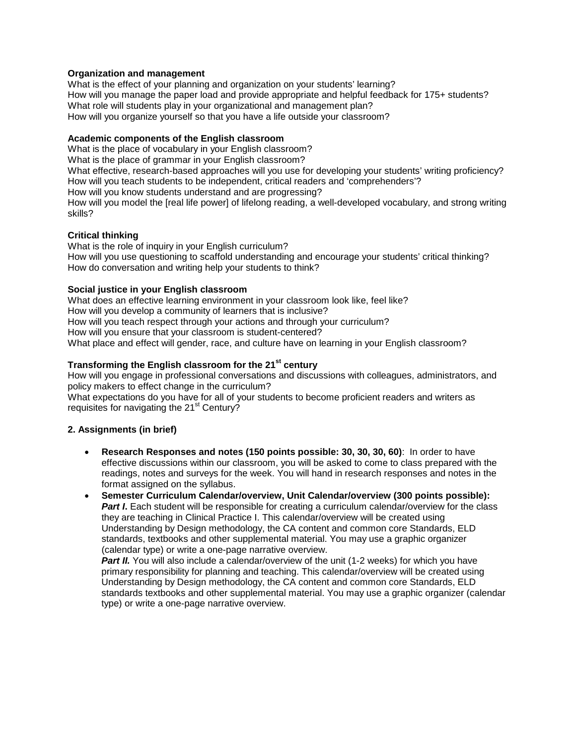# **Organization and management**

What is the effect of your planning and organization on your students' learning? How will you manage the paper load and provide appropriate and helpful feedback for 175+ students? What role will students play in your organizational and management plan? How will you organize yourself so that you have a life outside your classroom?

### **Academic components of the English classroom**

What is the place of vocabulary in your English classroom? What is the place of grammar in your English classroom? What effective, research-based approaches will you use for developing your students' writing proficiency? How will you teach students to be independent, critical readers and 'comprehenders'? How will you know students understand and are progressing? How will you model the [real life power] of lifelong reading, a well-developed vocabulary, and strong writing skills?

# **Critical thinking**

What is the role of inquiry in your English curriculum? How will you use questioning to scaffold understanding and encourage your students' critical thinking? How do conversation and writing help your students to think?

# **Social justice in your English classroom**

What does an effective learning environment in your classroom look like, feel like? How will you develop a community of learners that is inclusive? How will you teach respect through your actions and through your curriculum? How will you ensure that your classroom is student-centered? What place and effect will gender, race, and culture have on learning in your English classroom?

# **Transforming the English classroom for the 21st century**

How will you engage in professional conversations and discussions with colleagues, administrators, and policy makers to effect change in the curriculum?

What expectations do you have for all of your students to become proficient readers and writers as requisites for navigating the 21<sup>st</sup> Century?

# **2. Assignments (in brief)**

- **Research Responses and notes (150 points possible: 30, 30, 30, 60)**: In order to have effective discussions within our classroom, you will be asked to come to class prepared with the readings, notes and surveys for the week. You will hand in research responses and notes in the format assigned on the syllabus.
- **Semester Curriculum Calendar/overview, Unit Calendar/overview (300 points possible): Part I.** Each student will be responsible for creating a curriculum calendar/overview for the class they are teaching in Clinical Practice I. This calendar/overview will be created using Understanding by Design methodology, the CA content and common core Standards, ELD standards, textbooks and other supplemental material. You may use a graphic organizer (calendar type) or write a one-page narrative overview.

**Part II.** You will also include a calendar/overview of the unit (1-2 weeks) for which you have primary responsibility for planning and teaching. This calendar/overview will be created using Understanding by Design methodology, the CA content and common core Standards, ELD standards textbooks and other supplemental material. You may use a graphic organizer (calendar type) or write a one-page narrative overview.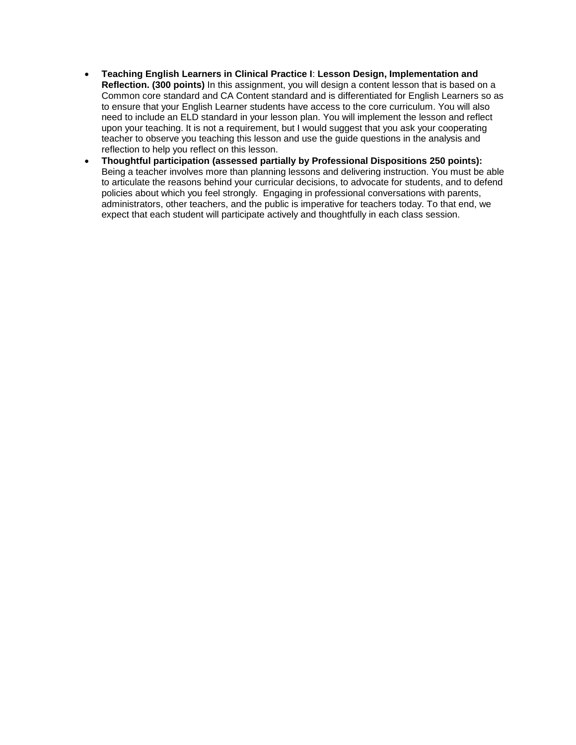- **Teaching English Learners in Clinical Practice I**: **Lesson Design, Implementation and Reflection. (300 points)** In this assignment, you will design a content lesson that is based on a Common core standard and CA Content standard and is differentiated for English Learners so as to ensure that your English Learner students have access to the core curriculum. You will also need to include an ELD standard in your lesson plan. You will implement the lesson and reflect upon your teaching. It is not a requirement, but I would suggest that you ask your cooperating teacher to observe you teaching this lesson and use the guide questions in the analysis and reflection to help you reflect on this lesson.
- <span id="page-7-0"></span>• **Thoughtful participation (assessed partially by Professional Dispositions 250 points):**  Being a teacher involves more than planning lessons and delivering instruction. You must be able to articulate the reasons behind your curricular decisions, to advocate for students, and to defend policies about which you feel strongly. Engaging in professional conversations with parents, administrators, other teachers, and the public is imperative for teachers today. To that end, we expect that each student will participate actively and thoughtfully in each class session.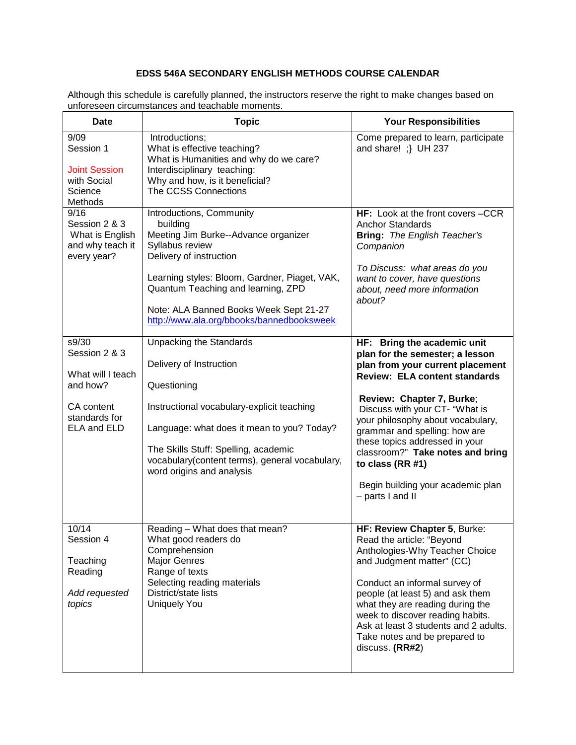# **EDSS 546A SECONDARY ENGLISH METHODS COURSE CALENDAR**

Although this schedule is carefully planned, the instructors reserve the right to make changes based on unforeseen circumstances and teachable moments.

| <b>Date</b>                                                                                           | <b>Topic</b>                                                                                                                                                                                                                                                                                             | <b>Your Responsibilities</b>                                                                                                                                                                                                                                                                                                                                                                                                       |
|-------------------------------------------------------------------------------------------------------|----------------------------------------------------------------------------------------------------------------------------------------------------------------------------------------------------------------------------------------------------------------------------------------------------------|------------------------------------------------------------------------------------------------------------------------------------------------------------------------------------------------------------------------------------------------------------------------------------------------------------------------------------------------------------------------------------------------------------------------------------|
| 9/09<br>Session 1<br><b>Joint Session</b><br>with Social<br>Science<br>Methods                        | Introductions;<br>What is effective teaching?<br>What is Humanities and why do we care?<br>Interdisciplinary teaching:<br>Why and how, is it beneficial?<br>The CCSS Connections                                                                                                                         | Come prepared to learn, participate<br>and share! ;} UH 237                                                                                                                                                                                                                                                                                                                                                                        |
| 9/16<br>Session 2 & 3<br>What is English<br>and why teach it<br>every year?                           | Introductions, Community<br>building<br>Meeting Jim Burke--Advance organizer<br>Syllabus review<br>Delivery of instruction<br>Learning styles: Bloom, Gardner, Piaget, VAK,<br>Quantum Teaching and learning, ZPD<br>Note: ALA Banned Books Week Sept 21-27<br>http://www.ala.org/bbooks/bannedbooksweek | <b>HF:</b> Look at the front covers –CCR<br><b>Anchor Standards</b><br><b>Bring:</b> The English Teacher's<br>Companion<br>To Discuss: what areas do you<br>want to cover, have questions<br>about, need more information<br>about?                                                                                                                                                                                                |
| s9/30<br>Session 2 & 3<br>What will I teach<br>and how?<br>CA content<br>standards for<br>ELA and ELD | <b>Unpacking the Standards</b><br>Delivery of Instruction<br>Questioning<br>Instructional vocabulary-explicit teaching<br>Language: what does it mean to you? Today?<br>The Skills Stuff: Spelling, academic<br>vocabulary(content terms), general vocabulary,<br>word origins and analysis              | HF: Bring the academic unit<br>plan for the semester; a lesson<br>plan from your current placement<br><b>Review: ELA content standards</b><br>Review: Chapter 7, Burke;<br>Discuss with your CT- "What is<br>your philosophy about vocabulary,<br>grammar and spelling: how are<br>these topics addressed in your<br>classroom?" Take notes and bring<br>to class (RR #1)<br>Begin building your academic plan<br>- parts I and II |
| 10/14<br>Session 4<br>Teaching<br>Reading<br>Add requested<br>topics                                  | Reading - What does that mean?<br>What good readers do<br>Comprehension<br><b>Major Genres</b><br>Range of texts<br>Selecting reading materials<br>District/state lists<br><b>Uniquely You</b>                                                                                                           | HF: Review Chapter 5, Burke:<br>Read the article: "Beyond<br>Anthologies-Why Teacher Choice<br>and Judgment matter" (CC)<br>Conduct an informal survey of<br>people (at least 5) and ask them<br>what they are reading during the<br>week to discover reading habits.<br>Ask at least 3 students and 2 adults.<br>Take notes and be prepared to<br>discuss. (RR#2)                                                                 |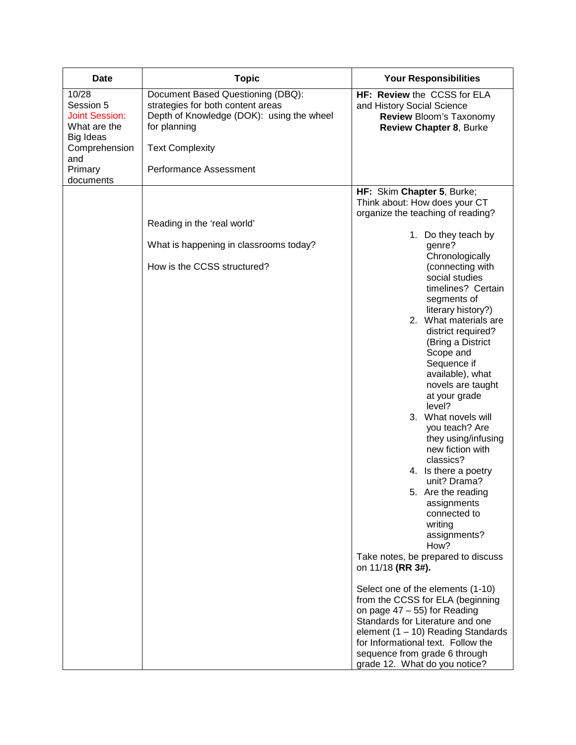| <b>Date</b>                                                 | <b>Topic</b>                                                                                                                        | <b>Your Responsibilities</b>                                                                                                                                                                                                                                                                                                                                                                                                                                                                                                                                                                                                                                                                                                                                                                                                                                                                                                                        |
|-------------------------------------------------------------|-------------------------------------------------------------------------------------------------------------------------------------|-----------------------------------------------------------------------------------------------------------------------------------------------------------------------------------------------------------------------------------------------------------------------------------------------------------------------------------------------------------------------------------------------------------------------------------------------------------------------------------------------------------------------------------------------------------------------------------------------------------------------------------------------------------------------------------------------------------------------------------------------------------------------------------------------------------------------------------------------------------------------------------------------------------------------------------------------------|
| 10/28<br>Session 5<br><b>Joint Session:</b><br>What are the | Document Based Questioning (DBQ):<br>strategies for both content areas<br>Depth of Knowledge (DOK): using the wheel<br>for planning | HF: Review the CCSS for ELA<br>and History Social Science<br>Review Bloom's Taxonomy<br>Review Chapter 8, Burke                                                                                                                                                                                                                                                                                                                                                                                                                                                                                                                                                                                                                                                                                                                                                                                                                                     |
| Big Ideas<br>Comprehension                                  | <b>Text Complexity</b>                                                                                                              |                                                                                                                                                                                                                                                                                                                                                                                                                                                                                                                                                                                                                                                                                                                                                                                                                                                                                                                                                     |
| and<br>Primary                                              | Performance Assessment                                                                                                              |                                                                                                                                                                                                                                                                                                                                                                                                                                                                                                                                                                                                                                                                                                                                                                                                                                                                                                                                                     |
| documents                                                   | Reading in the 'real world'<br>What is happening in classrooms today?<br>How is the CCSS structured?                                | HF: Skim Chapter 5, Burke;<br>Think about: How does your CT<br>organize the teaching of reading?<br>1. Do they teach by<br>genre?<br>Chronologically<br>(connecting with<br>social studies<br>timelines? Certain<br>segments of<br>literary history?)<br>2. What materials are<br>district required?<br>(Bring a District<br>Scope and<br>Sequence if<br>available), what<br>novels are taught<br>at your grade<br>level?<br>3. What novels will<br>you teach? Are<br>they using/infusing<br>new fiction with<br>classics?<br>4. Is there a poetry<br>unit? Drama?<br>5. Are the reading<br>assignments<br>connected to<br>writing<br>assignments?<br>How?<br>Take notes, be prepared to discuss<br>on 11/18 (RR 3#).<br>Select one of the elements (1-10)<br>from the CCSS for ELA (beginning<br>on page $47 - 55$ ) for Reading<br>Standards for Literature and one<br>element $(1 - 10)$ Reading Standards<br>for Informational text. Follow the |
|                                                             |                                                                                                                                     | sequence from grade 6 through<br>grade 12. What do you notice?                                                                                                                                                                                                                                                                                                                                                                                                                                                                                                                                                                                                                                                                                                                                                                                                                                                                                      |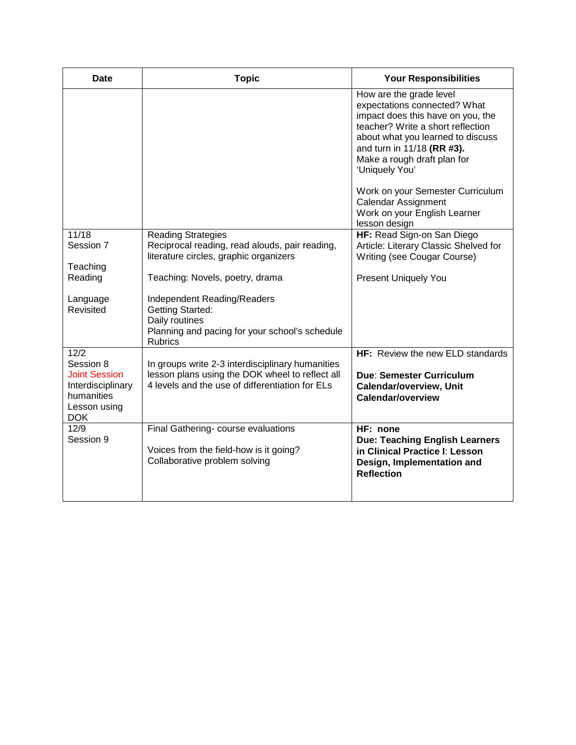| Date                                                                                               | <b>Topic</b>                                                                                                                                           | <b>Your Responsibilities</b>                                                                                                                                                                                                                                                                                                                                             |
|----------------------------------------------------------------------------------------------------|--------------------------------------------------------------------------------------------------------------------------------------------------------|--------------------------------------------------------------------------------------------------------------------------------------------------------------------------------------------------------------------------------------------------------------------------------------------------------------------------------------------------------------------------|
|                                                                                                    |                                                                                                                                                        | How are the grade level<br>expectations connected? What<br>impact does this have on you, the<br>teacher? Write a short reflection<br>about what you learned to discuss<br>and turn in 11/18 (RR #3).<br>Make a rough draft plan for<br>'Uniquely You'<br>Work on your Semester Curriculum<br><b>Calendar Assignment</b><br>Work on your English Learner<br>lesson design |
| 11/18                                                                                              | <b>Reading Strategies</b>                                                                                                                              | HF: Read Sign-on San Diego                                                                                                                                                                                                                                                                                                                                               |
| Session 7                                                                                          | Reciprocal reading, read alouds, pair reading,                                                                                                         | Article: Literary Classic Shelved for                                                                                                                                                                                                                                                                                                                                    |
| Teaching                                                                                           | literature circles, graphic organizers                                                                                                                 | Writing (see Cougar Course)                                                                                                                                                                                                                                                                                                                                              |
| Reading                                                                                            | Teaching: Novels, poetry, drama                                                                                                                        | <b>Present Uniquely You</b>                                                                                                                                                                                                                                                                                                                                              |
| Language<br>Revisited                                                                              | Independent Reading/Readers<br><b>Getting Started:</b><br>Daily routines<br>Planning and pacing for your school's schedule<br><b>Rubrics</b>           |                                                                                                                                                                                                                                                                                                                                                                          |
| 12/2                                                                                               |                                                                                                                                                        | HF: Review the new ELD standards                                                                                                                                                                                                                                                                                                                                         |
| Session 8<br><b>Joint Session</b><br>Interdisciplinary<br>humanities<br>Lesson using<br><b>DOK</b> | In groups write 2-3 interdisciplinary humanities<br>lesson plans using the DOK wheel to reflect all<br>4 levels and the use of differentiation for ELs | <b>Due: Semester Curriculum</b><br><b>Calendar/overview, Unit</b><br>Calendar/overview                                                                                                                                                                                                                                                                                   |
| 12/9<br>Session 9                                                                                  | Final Gathering- course evaluations<br>Voices from the field-how is it going?<br>Collaborative problem solving                                         | HF: none<br><b>Due: Teaching English Learners</b><br>in Clinical Practice I: Lesson<br>Design, Implementation and<br><b>Reflection</b>                                                                                                                                                                                                                                   |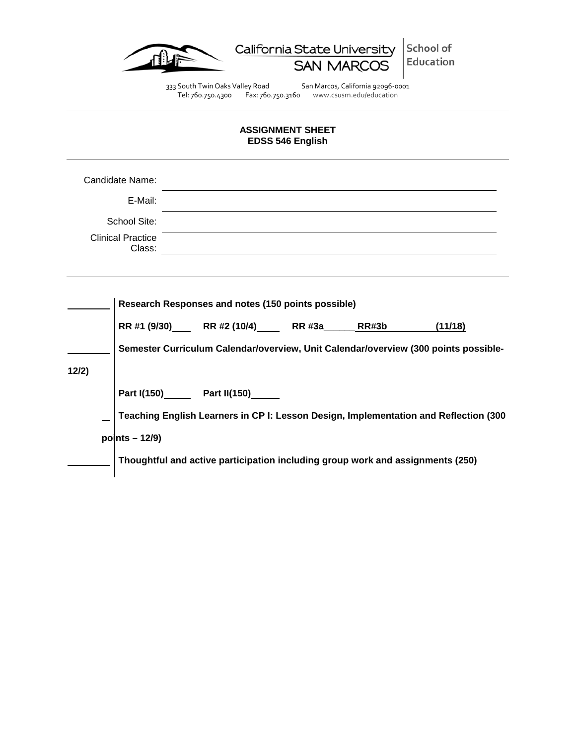

333 South Twin Oaks Valley Road San Marcos, California 92096-0001 Tel: 760.750.4300 Fax: 760.750.3160 www.csusm.edu/education

# **ASSIGNMENT SHEET EDSS 546 English**

<span id="page-11-0"></span>

|                                                                                                                                                                                                                                       | Candidate Name:<br>E-Mail:<br>School Site:<br><b>Clinical Practice</b><br>Class: |  |                                                                                                                                                                                                       |  | <u> 1989 - John Stein, september 1989 - John Stein, september 1989 - John Stein, september 1989 - John Stein, sep</u> |  |  |         |  |
|---------------------------------------------------------------------------------------------------------------------------------------------------------------------------------------------------------------------------------------|----------------------------------------------------------------------------------|--|-------------------------------------------------------------------------------------------------------------------------------------------------------------------------------------------------------|--|-----------------------------------------------------------------------------------------------------------------------|--|--|---------|--|
| 12/2)                                                                                                                                                                                                                                 |                                                                                  |  | Research Responses and notes (150 points possible)<br>RR #1 (9/30)______RR #2 (10/4)_______RR #3a________RR#3b<br>Semester Curriculum Calendar/overview, Unit Calendar/overview (300 points possible- |  |                                                                                                                       |  |  | (11/18) |  |
| Part I(150)________ Part II(150)_______<br>Teaching English Learners in CP I: Lesson Design, Implementation and Reflection (300<br>points $-12/9$ )<br>Thoughtful and active participation including group work and assignments (250) |                                                                                  |  |                                                                                                                                                                                                       |  |                                                                                                                       |  |  |         |  |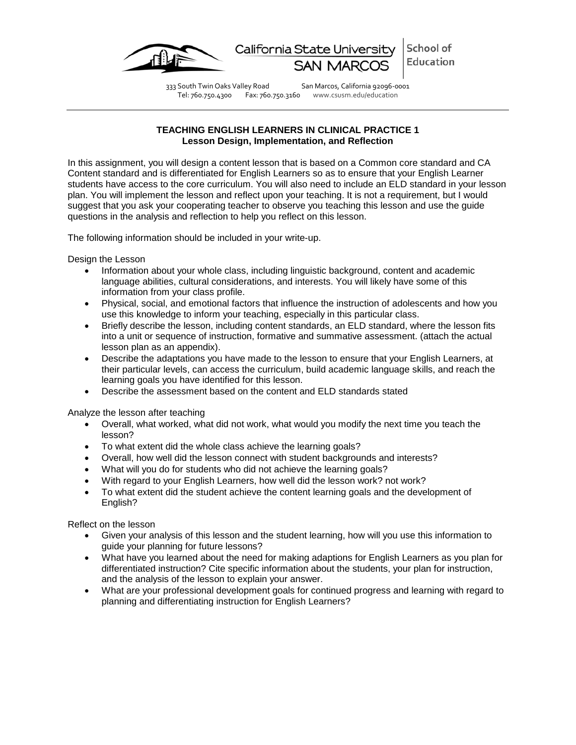

Tel: 760.750.4300 Fax: 760.750.3160 www.csusm.edu/education

333 South Twin Oaks Valley Road San Marcos, California 92096-0001

# **TEACHING ENGLISH LEARNERS IN CLINICAL PRACTICE 1 Lesson Design, Implementation, and Reflection**

<span id="page-12-0"></span>In this assignment, you will design a content lesson that is based on a Common core standard and CA Content standard and is differentiated for English Learners so as to ensure that your English Learner students have access to the core curriculum. You will also need to include an ELD standard in your lesson plan. You will implement the lesson and reflect upon your teaching. It is not a requirement, but I would suggest that you ask your cooperating teacher to observe you teaching this lesson and use the guide questions in the analysis and reflection to help you reflect on this lesson.

The following information should be included in your write-up.

Design the Lesson

- Information about your whole class, including linguistic background, content and academic language abilities, cultural considerations, and interests. You will likely have some of this information from your class profile.
- Physical, social, and emotional factors that influence the instruction of adolescents and how you use this knowledge to inform your teaching, especially in this particular class.
- Briefly describe the lesson, including content standards, an ELD standard, where the lesson fits into a unit or sequence of instruction, formative and summative assessment. (attach the actual lesson plan as an appendix).
- Describe the adaptations you have made to the lesson to ensure that your English Learners, at their particular levels, can access the curriculum, build academic language skills, and reach the learning goals you have identified for this lesson.
- Describe the assessment based on the content and ELD standards stated

Analyze the lesson after teaching

- Overall, what worked, what did not work, what would you modify the next time you teach the lesson?
- To what extent did the whole class achieve the learning goals?
- Overall, how well did the lesson connect with student backgrounds and interests?
- What will you do for students who did not achieve the learning goals?
- With regard to your English Learners, how well did the lesson work? not work?
- To what extent did the student achieve the content learning goals and the development of English?

Reflect on the lesson

- Given your analysis of this lesson and the student learning, how will you use this information to guide your planning for future lessons?
- What have you learned about the need for making adaptions for English Learners as you plan for differentiated instruction? Cite specific information about the students, your plan for instruction, and the analysis of the lesson to explain your answer.
- What are your professional development goals for continued progress and learning with regard to planning and differentiating instruction for English Learners?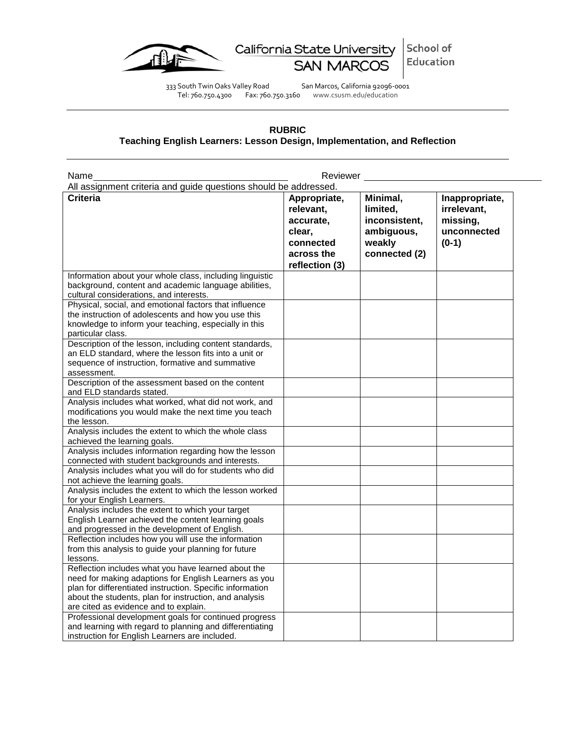

California State University School of Education **SAN MARCOS** 

333 South Twin Oaks Valley Road San Marcos, California 92096-0001 Tel: 760.750.4300 Fax: 760.750.3160 www.csusm.edu/education

# **RUBRIC Teaching English Learners: Lesson Design, Implementation, and Reflection**

<span id="page-13-0"></span>

| Name                                                                                                                                                                                                                                                                         | Reviewer                                                                                      |                                                                                |                                                                     |
|------------------------------------------------------------------------------------------------------------------------------------------------------------------------------------------------------------------------------------------------------------------------------|-----------------------------------------------------------------------------------------------|--------------------------------------------------------------------------------|---------------------------------------------------------------------|
| All assignment criteria and guide questions should be addressed.                                                                                                                                                                                                             |                                                                                               |                                                                                |                                                                     |
| <b>Criteria</b>                                                                                                                                                                                                                                                              | Appropriate,<br>relevant,<br>accurate,<br>clear,<br>connected<br>across the<br>reflection (3) | Minimal,<br>limited,<br>inconsistent,<br>ambiguous,<br>weakly<br>connected (2) | Inappropriate,<br>irrelevant,<br>missing,<br>unconnected<br>$(0-1)$ |
| Information about your whole class, including linguistic<br>background, content and academic language abilities,<br>cultural considerations, and interests.                                                                                                                  |                                                                                               |                                                                                |                                                                     |
| Physical, social, and emotional factors that influence<br>the instruction of adolescents and how you use this<br>knowledge to inform your teaching, especially in this<br>particular class.                                                                                  |                                                                                               |                                                                                |                                                                     |
| Description of the lesson, including content standards,<br>an ELD standard, where the lesson fits into a unit or<br>sequence of instruction, formative and summative<br>assessment.                                                                                          |                                                                                               |                                                                                |                                                                     |
| Description of the assessment based on the content<br>and ELD standards stated.                                                                                                                                                                                              |                                                                                               |                                                                                |                                                                     |
| Analysis includes what worked, what did not work, and<br>modifications you would make the next time you teach<br>the lesson.                                                                                                                                                 |                                                                                               |                                                                                |                                                                     |
| Analysis includes the extent to which the whole class<br>achieved the learning goals.                                                                                                                                                                                        |                                                                                               |                                                                                |                                                                     |
| Analysis includes information regarding how the lesson<br>connected with student backgrounds and interests.                                                                                                                                                                  |                                                                                               |                                                                                |                                                                     |
| Analysis includes what you will do for students who did<br>not achieve the learning goals.                                                                                                                                                                                   |                                                                                               |                                                                                |                                                                     |
| Analysis includes the extent to which the lesson worked<br>for your English Learners.                                                                                                                                                                                        |                                                                                               |                                                                                |                                                                     |
| Analysis includes the extent to which your target<br>English Learner achieved the content learning goals<br>and progressed in the development of English.                                                                                                                    |                                                                                               |                                                                                |                                                                     |
| Reflection includes how you will use the information<br>from this analysis to guide your planning for future<br>lessons.                                                                                                                                                     |                                                                                               |                                                                                |                                                                     |
| Reflection includes what you have learned about the<br>need for making adaptions for English Learners as you<br>plan for differentiated instruction. Specific information<br>about the students, plan for instruction, and analysis<br>are cited as evidence and to explain. |                                                                                               |                                                                                |                                                                     |
| Professional development goals for continued progress<br>and learning with regard to planning and differentiating<br>instruction for English Learners are included.                                                                                                          |                                                                                               |                                                                                |                                                                     |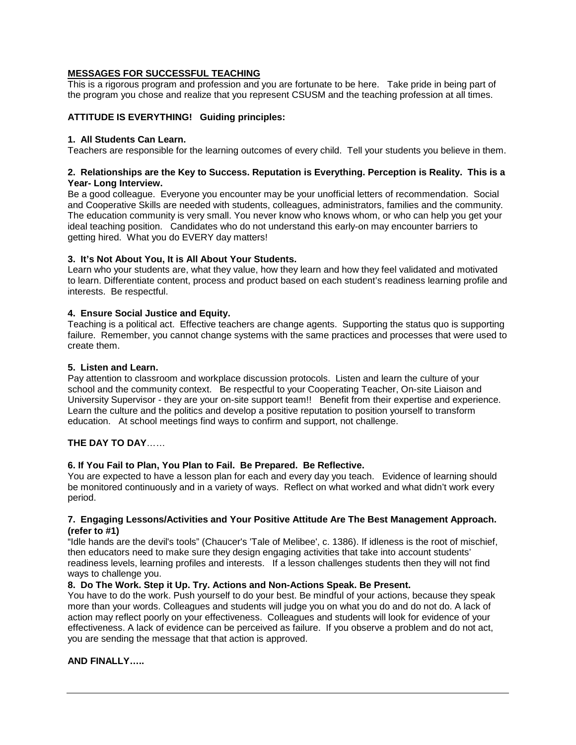# **MESSAGES FOR SUCCESSFUL TEACHING**

This is a rigorous program and profession and you are fortunate to be here. Take pride in being part of the program you chose and realize that you represent CSUSM and the teaching profession at all times.

# **ATTITUDE IS EVERYTHING! Guiding principles:**

### **1. All Students Can Learn.**

Teachers are responsible for the learning outcomes of every child. Tell your students you believe in them.

# **2. Relationships are the Key to Success. Reputation is Everything. Perception is Reality. This is a Year- Long Interview.**

Be a good colleague. Everyone you encounter may be your unofficial letters of recommendation. Social and Cooperative Skills are needed with students, colleagues, administrators, families and the community. The education community is very small. You never know who knows whom, or who can help you get your ideal teaching position. Candidates who do not understand this early-on may encounter barriers to getting hired. What you do EVERY day matters!

# **3. It's Not About You, It is All About Your Students.**

Learn who your students are, what they value, how they learn and how they feel validated and motivated to learn. Differentiate content, process and product based on each student's readiness learning profile and interests. Be respectful.

# **4. Ensure Social Justice and Equity.**

Teaching is a political act. Effective teachers are change agents. Supporting the status quo is supporting failure. Remember, you cannot change systems with the same practices and processes that were used to create them.

#### **5. Listen and Learn.**

Pay attention to classroom and workplace discussion protocols. Listen and learn the culture of your school and the community context. Be respectful to your Cooperating Teacher, On-site Liaison and University Supervisor - they are your on-site support team!! Benefit from their expertise and experience. Learn the culture and the politics and develop a positive reputation to position yourself to transform education. At school meetings find ways to confirm and support, not challenge.

# **THE DAY TO DAY**……

#### **6. If You Fail to Plan, You Plan to Fail. Be Prepared. Be Reflective.**

You are expected to have a lesson plan for each and every day you teach. Evidence of learning should be monitored continuously and in a variety of ways. Reflect on what worked and what didn't work every period.

#### **7. Engaging Lessons/Activities and Your Positive Attitude Are The Best Management Approach. (refer to #1)**

"Idle hands are the devil's tools" (Chaucer's 'Tale of Melibee', c. 1386). If idleness is the root of mischief, then educators need to make sure they design engaging activities that take into account students' readiness levels, learning profiles and interests. If a lesson challenges students then they will not find ways to challenge you.

# **8. Do The Work. Step it Up. Try. Actions and Non-Actions Speak. Be Present.**

You have to do the work. Push yourself to do your best. Be mindful of your actions, because they speak more than your words. Colleagues and students will judge you on what you do and do not do. A lack of action may reflect poorly on your effectiveness. Colleagues and students will look for evidence of your effectiveness. A lack of evidence can be perceived as failure. If you observe a problem and do not act, you are sending the message that that action is approved.

# **AND FINALLY…..**